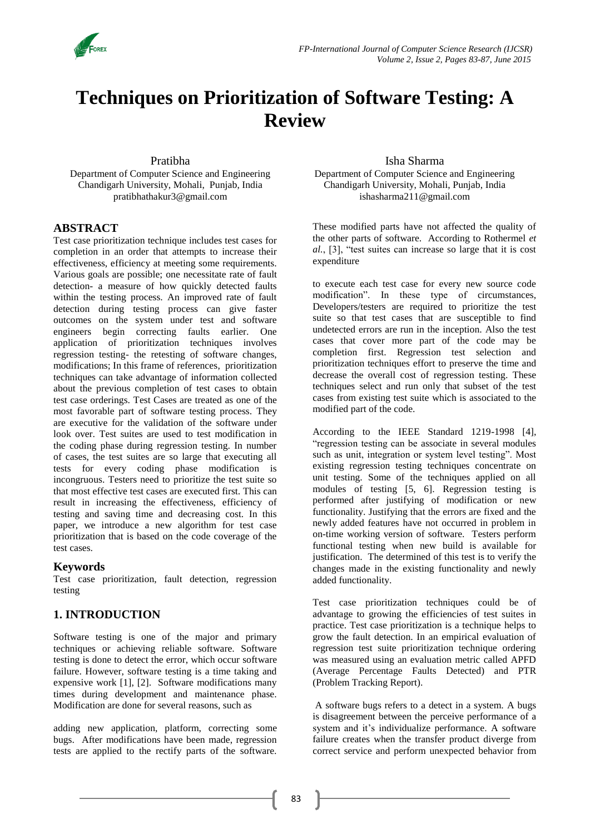

# **Techniques on Prioritization of Software Testing: A Review**

Pratibha

Department of Computer Science and Engineering Chandigarh University, Mohali, Punjab, India pratibhathakur3@gmail.com

#### **ABSTRACT**

Test case prioritization technique includes test cases for completion in an order that attempts to increase their effectiveness, efficiency at meeting some requirements. Various goals are possible; one necessitate rate of fault detection- a measure of how quickly detected faults within the testing process. An improved rate of fault detection during testing process can give faster outcomes on the system under test and software engineers begin correcting faults earlier. One application of prioritization techniques involves regression testing- the retesting of software changes, modifications; In this frame of references, prioritization techniques can take advantage of information collected about the previous completion of test cases to obtain test case orderings. Test Cases are treated as one of the most favorable part of software testing process. They are executive for the validation of the software under look over. Test suites are used to test modification in the coding phase during regression testing. In number of cases, the test suites are so large that executing all tests for every coding phase modification is incongruous. Testers need to prioritize the test suite so that most effective test cases are executed first. This can result in increasing the effectiveness, efficiency of testing and saving time and decreasing cost. In this paper, we introduce a new algorithm for test case prioritization that is based on the code coverage of the test cases.

#### **Keywords**

Test case prioritization, fault detection, regression testing

# **1. INTRODUCTION**

Software testing is one of the major and primary techniques or achieving reliable software. Software testing is done to detect the error, which occur software failure. However, software testing is a time taking and expensive work [1], [2]. Software modifications many times during development and maintenance phase. Modification are done for several reasons, such as

adding new application, platform, correcting some bugs. After modifications have been made, regression tests are applied to the rectify parts of the software.

#### Isha Sharma

Department of Computer Science and Engineering Chandigarh University, Mohali, Punjab, India ishasharma211@gmail.com

These modified parts have not affected the quality of the other parts of software. According to Rothermel *et al.*, [3], "test suites can increase so large that it is cost expenditure

to execute each test case for every new source code modification". In these type of circumstances, Developers/testers are required to prioritize the test suite so that test cases that are susceptible to find undetected errors are run in the inception. Also the test cases that cover more part of the code may be completion first. Regression test selection and prioritization techniques effort to preserve the time and decrease the overall cost of regression testing. These techniques select and run only that subset of the test cases from existing test suite which is associated to the modified part of the code.

According to the IEEE Standard 1219-1998 [4], "regression testing can be associate in several modules such as unit, integration or system level testing". Most existing regression testing techniques concentrate on unit testing. Some of the techniques applied on all modules of testing [5, 6]. Regression testing is performed after justifying of modification or new functionality. Justifying that the errors are fixed and the newly added features have not occurred in problem in on-time working version of software. Testers perform functional testing when new build is available for justification. The determined of this test is to verify the changes made in the existing functionality and newly added functionality.

Test case prioritization techniques could be of advantage to growing the efficiencies of test suites in practice. Test case prioritization is a technique helps to grow the fault detection. In an empirical evaluation of regression test suite prioritization technique ordering was measured using an evaluation metric called APFD (Average Percentage Faults Detected) and PTR (Problem Tracking Report).

A software bugs refers to a detect in a system. A bugs is disagreement between the perceive performance of a system and it's individualize performance. A software failure creates when the transfer product diverge from correct service and perform unexpected behavior from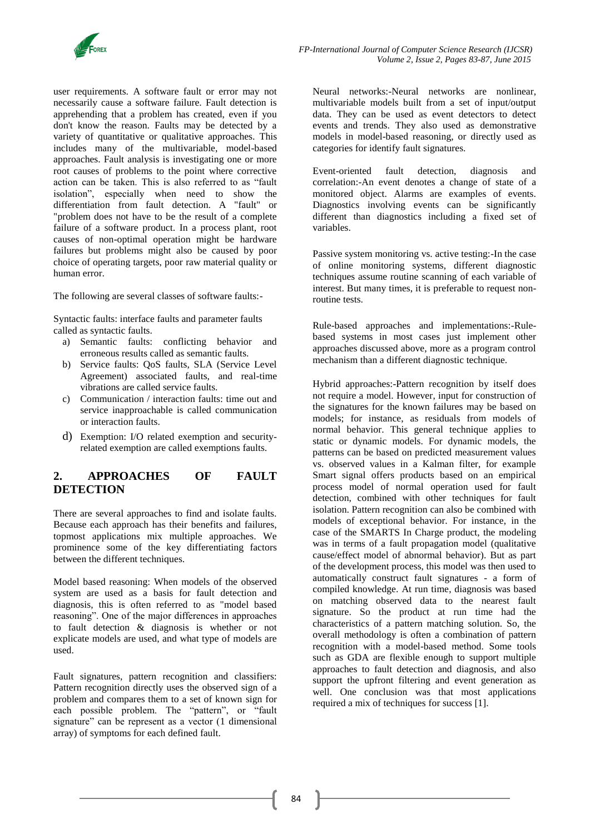

user requirements. A software fault or error may not necessarily cause a software failure. Fault detection is apprehending that a problem has created, even if you don't know the reason. Faults may be detected by a variety of quantitative or qualitative approaches. This includes many of the multivariable, model-based approaches. Fault analysis is investigating one or more root causes of problems to the point where corrective action can be taken. This is also referred to as "fault isolation", especially when need to show the differentiation from fault detection. A "fault" or "problem does not have to be the result of a complete failure of a software product. In a process plant, root causes of non-optimal operation might be hardware failures but problems might also be caused by poor choice of operating targets, poor raw material quality or human error.

The following are several classes of software faults:-

Syntactic faults: interface faults and parameter faults called as syntactic faults.

- a) Semantic faults: conflicting behavior and erroneous results called as semantic faults.
- b) Service faults: QoS faults, SLA (Service Level Agreement) associated faults, and real-time vibrations are called service faults.
- c) Communication / interaction faults: time out and service inapproachable is called communication or interaction faults.
- d) Exemption: I/O related exemption and securityrelated exemption are called exemptions faults.

# **2. APPROACHES OF FAULT DETECTION**

There are several approaches to find and isolate faults. Because each approach has their benefits and failures, topmost applications mix multiple approaches. We prominence some of the key differentiating factors between the different techniques.

Model based reasoning: When models of the observed system are used as a basis for fault detection and diagnosis, this is often referred to as "model based reasoning". One of the major differences in approaches to fault detection & diagnosis is whether or not explicate models are used, and what type of models are used.

Fault signatures, pattern recognition and classifiers: Pattern recognition directly uses the observed sign of a problem and compares them to a set of known sign for each possible problem. The "pattern", or "fault signature" can be represent as a vector (1 dimensional array) of symptoms for each defined fault.

Neural networks:-Neural networks are nonlinear, multivariable models built from a set of input/output data. They can be used as event detectors to detect events and trends. They also used as demonstrative models in model-based reasoning, or directly used as categories for identify fault signatures.

Event-oriented fault detection, diagnosis and correlation:-An event denotes a change of state of a monitored object. Alarms are examples of events. Diagnostics involving events can be significantly different than diagnostics including a fixed set of variables.

Passive system monitoring vs. active testing:-In the case of online monitoring systems, different diagnostic techniques assume routine scanning of each variable of interest. But many times, it is preferable to request nonroutine tests.

Rule-based approaches and implementations:-Rulebased systems in most cases just implement other approaches discussed above, more as a program control mechanism than a different diagnostic technique.

Hybrid approaches:-Pattern recognition by itself does not require a model. However, input for construction of the signatures for the known failures may be based on models; for instance, as residuals from models of normal behavior. This general technique applies to static or dynamic models. For dynamic models, the patterns can be based on predicted measurement values vs. observed values in a Kalman filter, for example Smart signal offers products based on an empirical process model of normal operation used for fault detection, combined with other techniques for fault isolation. Pattern recognition can also be combined with models of exceptional behavior. For instance, in the case of the SMARTS In Charge product, the modeling was in terms of a fault propagation model (qualitative cause/effect model of abnormal behavior). But as part of the development process, this model was then used to automatically construct fault signatures - a form of compiled knowledge. At run time, diagnosis was based on matching observed data to the nearest fault signature. So the product at run time had the characteristics of a pattern matching solution. So, the overall methodology is often a combination of pattern recognition with a model-based method. Some tools such as GDA are flexible enough to support multiple approaches to fault detection and diagnosis, and also support the upfront filtering and event generation as well. One conclusion was that most applications required a mix of techniques for success [1].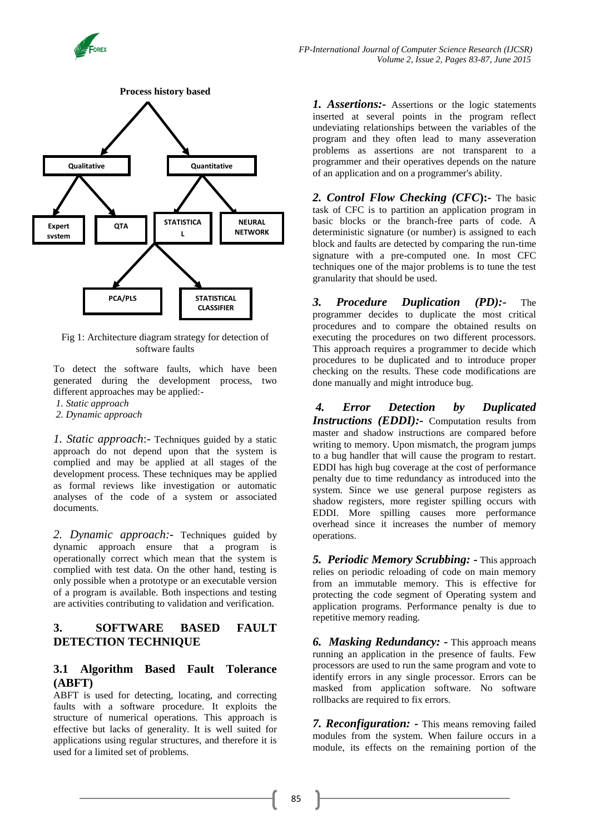



Fig 1: Architecture diagram strategy for detection of software faults

To detect the software faults, which have been generated during the development process, two different approaches may be applied:-

*1. Static approach*

*2. Dynamic approach* 

*1. Static approach*:- Techniques guided by a static approach do not depend upon that the system is complied and may be applied at all stages of the development process. These techniques may be applied as formal reviews like investigation or automatic analyses of the code of a system or associated documents.

*2. Dynamic approach:-* Techniques guided by dynamic approach ensure that a program is operationally correct which mean that the system is complied with test data. On the other hand, testing is only possible when a prototype or an executable version of a program is available. Both inspections and testing are activities contributing to validation and verification.

#### **3. SOFTWARE BASED FAULT DETECTION TECHNIQUE**

#### **3.1 Algorithm Based Fault Tolerance (ABFT)**

ABFT is used for detecting, locating, and correcting faults with a software procedure. It exploits the structure of numerical operations. This approach is effective but lacks of generality. It is well suited for applications using regular structures, and therefore it is used for a limited set of problems.

*1. Assertions:-* Assertions or the logic statements inserted at several points in the program reflect undeviating relationships between the variables of the program and they often lead to many asseveration problems as assertions are not transparent to a programmer and their operatives depends on the nature of an application and on a programmer's ability.

*2. Control Flow Checking (CFC***):-** The basic task of CFC is to partition an application program in basic blocks or the branch-free parts of code. A deterministic signature (or number) is assigned to each block and faults are detected by comparing the run-time signature with a pre-computed one. In most CFC techniques one of the major problems is to tune the test granularity that should be used.

*3. Procedure Duplication (PD):-* The programmer decides to duplicate the most critical procedures and to compare the obtained results on executing the procedures on two different processors. This approach requires a programmer to decide which procedures to be duplicated and to introduce proper checking on the results. These code modifications are done manually and might introduce bug.

*4. Error Detection by Duplicated Instructions (EDDI):-* Computation results from master and shadow instructions are compared before writing to memory. Upon mismatch, the program jumps to a bug handler that will cause the program to restart. EDDI has high bug coverage at the cost of performance penalty due to time redundancy as introduced into the system. Since we use general purpose registers as shadow registers, more register spilling occurs with EDDI. More spilling causes more performance overhead since it increases the number of memory operations.

*5. Periodic Memory Scrubbing:* **-** This approach relies on periodic reloading of code on main memory from an immutable memory. This is effective for protecting the code segment of Operating system and application programs. Performance penalty is due to repetitive memory reading.

*6. Masking Redundancy: -* This approach means running an application in the presence of faults. Few processors are used to run the same program and vote to identify errors in any single processor. Errors can be masked from application software. No software rollbacks are required to fix errors.

*7. Reconfiguration: -* This means removing failed modules from the system. When failure occurs in a module, its effects on the remaining portion of the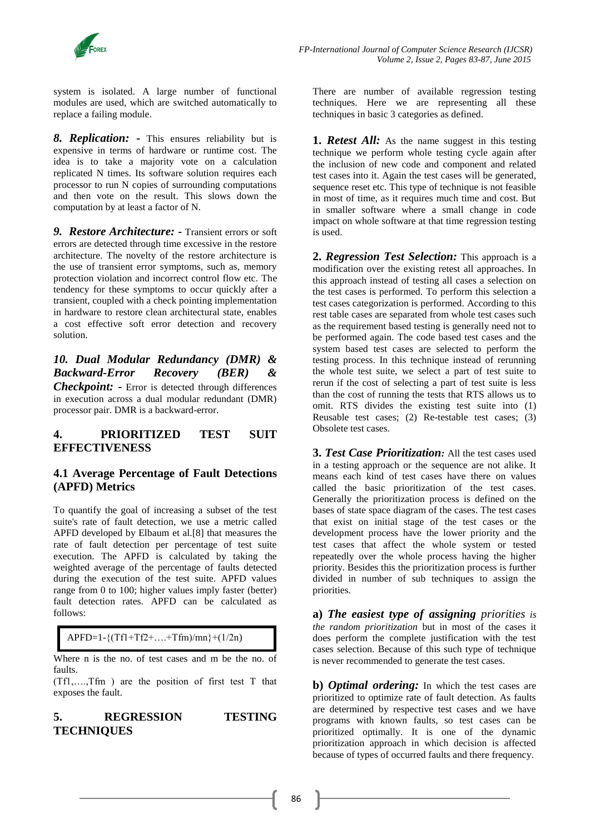

 *FP-International Journal of Computer Science Research (IJCSR) Volume 2, Issue 2, Pages 83-87, June 2015*

system is isolated. A large number of functional modules are used, which are switched automatically to replace a failing module.

*8. Replication: -* This ensures reliability but is expensive in terms of hardware or runtime cost. The idea is to take a majority vote on a calculation replicated N times. Its software solution requires each processor to run N copies of surrounding computations and then vote on the result. This slows down the computation by at least a factor of N.

*9. Restore Architecture: -* Transient errors or soft errors are detected through time excessive in the restore architecture. The novelty of the restore architecture is the use of transient error symptoms, such as, memory protection violation and incorrect control flow etc. The tendency for these symptoms to occur quickly after a transient, coupled with a check pointing implementation in hardware to restore clean architectural state, enables a cost effective soft error detection and recovery solution.

#### *10. Dual Modular Redundancy (DMR) & Backward-Error Recovery (BER) & Checkpoint:* **-** Error is detected through differences in execution across a dual modular redundant (DMR) processor pair. DMR is a backward-error.

## **4. PRIORITIZED TEST SUIT EFFECTIVENESS**

#### **4.1 Average Percentage of Fault Detections (APFD) Metrics**

To quantify the goal of increasing a subset of the test suite's rate of fault detection, we use a metric called APFD developed by Elbaum et al.[8] that measures the rate of fault detection per percentage of test suite execution. The APFD is calculated by taking the weighted average of the percentage of faults detected during the execution of the test suite. APFD values range from 0 to 100; higher values imply faster (better) fault detection rates. APFD can be calculated as follows:

APFD=1-{(Tf1+Tf2+….+Tfm)/mn}+(1/2n)

Where n is the no. of test cases and m be the no. of faults.

(Tf1,….,Tfm ) are the position of first test T that exposes the fault.

**5. REGRESSION TESTING TECHNIQUES**

There are number of available regression testing techniques. Here we are representing all these techniques in basic 3 categories as defined.

**1.** *Retest All:* As the name suggest in this testing technique we perform whole testing cycle again after the inclusion of new code and component and related test cases into it. Again the test cases will be generated, sequence reset etc. This type of technique is not feasible in most of time, as it requires much time and cost. But in smaller software where a small change in code impact on whole software at that time regression testing is used.

**2.** *Regression Test Selection:* This approach is a modification over the existing retest all approaches. In this approach instead of testing all cases a selection on the test cases is performed. To perform this selection a test cases categorization is performed. According to this rest table cases are separated from whole test cases such as the requirement based testing is generally need not to be performed again. The code based test cases and the system based test cases are selected to perform the testing process. In this technique instead of rerunning the whole test suite, we select a part of test suite to rerun if the cost of selecting a part of test suite is less than the cost of running the tests that RTS allows us to omit. RTS divides the existing test suite into (1) Reusable test cases; (2) Re-testable test cases; (3) Obsolete test cases.

**3.** *Test Case Prioritization:* All the test cases used in a testing approach or the sequence are not alike. It means each kind of test cases have there on values called the basic prioritization of the test cases. Generally the prioritization process is defined on the bases of state space diagram of the cases. The test cases that exist on initial stage of the test cases or the development process have the lower priority and the test cases that affect the whole system or tested repeatedly over the whole process having the higher priority. Besides this the prioritization process is further divided in number of sub techniques to assign the priorities.

**a)** *The easiest type of assigning priorities is the random prioritization* but in most of the cases it does perform the complete justification with the test cases selection. Because of this such type of technique is never recommended to generate the test cases.

**b)** *Optimal ordering:* In which the test cases are prioritized to optimize rate of fault detection. As faults are determined by respective test cases and we have programs with known faults, so test cases can be prioritized optimally. It is one of the dynamic prioritization approach in which decision is affected because of types of occurred faults and there frequency.